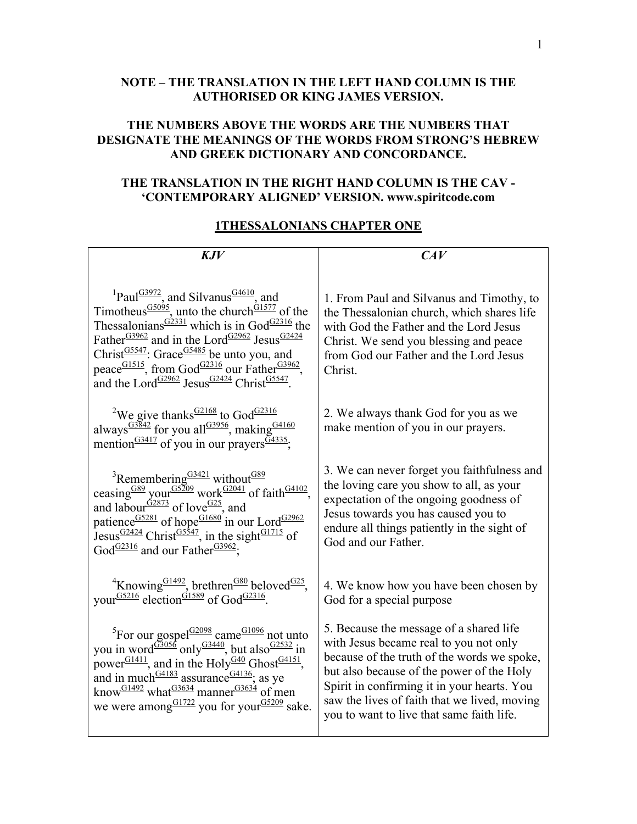## **NOTE – THE TRANSLATION IN THE LEFT HAND COLUMN IS THE AUTHORISED OR KING JAMES VERSION.**

## **THE NUMBERS ABOVE THE WORDS ARE THE NUMBERS THAT DESIGNATE THE MEANINGS OF THE WORDS FROM STRONG'S HEBREW AND GREEK DICTIONARY AND CONCORDANCE.**

## **THE TRANSLATION IN THE RIGHT HAND COLUMN IS THE CAV - 'CONTEMPORARY ALIGNED' VERSION. www.spiritcode.com**

## **1THESSALONIANS CHAPTER ONE**

| KJV                                                                                                                                                                                                                                                                                                                                                                                                                                                                                                                                                   | CAV                                                                                                                                                                                                                                                                                                                       |
|-------------------------------------------------------------------------------------------------------------------------------------------------------------------------------------------------------------------------------------------------------------------------------------------------------------------------------------------------------------------------------------------------------------------------------------------------------------------------------------------------------------------------------------------------------|---------------------------------------------------------------------------------------------------------------------------------------------------------------------------------------------------------------------------------------------------------------------------------------------------------------------------|
| <sup>1</sup> Paul <sup>G3972</sup> , and Silvanus <sup>G4610</sup> , and<br>Timotheus <sup>G5095</sup> , unto the church <sup>G1577</sup> of the<br>Thessalonians <sup>G2331</sup> which is in God <sup>G2316</sup> the<br>Father <sup>G3962</sup> and in the Lord <sup>G2962</sup> Jesus <sup>G2424</sup><br>Christ $\frac{GS547}{}$ : Grace $\frac{GS485}{}$ be unto you, and<br>peace <sup>G1515</sup> , from God <sup>G2316</sup> our Father <sup>G3962</sup> ,<br>and the Lord <sup>G2962</sup> Jesus <sup>G2424</sup> Christ <sup>G5547</sup> . | 1. From Paul and Silvanus and Timothy, to<br>the Thessalonian church, which shares life<br>with God the Father and the Lord Jesus<br>Christ. We send you blessing and peace<br>from God our Father and the Lord Jesus<br>Christ.                                                                                          |
| <sup>2</sup> We give thanks $\frac{G2168}{G}$ to God <sup>G2316</sup><br>always <sup><math>\frac{G3842}{100}</math></sup> for you all <sup>G3956</sup> , making <sup>G4160</sup><br>mention <sup><math>G3417</math></sup> of you in our prayers $\frac{G4335}{7}$ ;                                                                                                                                                                                                                                                                                   | 2. We always thank God for you as we<br>make mention of you in our prayers.                                                                                                                                                                                                                                               |
| <sup>3</sup> Remembering <sup>G3421</sup> without <sup>G89</sup><br>ceasing <sup>G89</sup> your <sup>G5209</sup> work <sup>G2041</sup> of faith <sup>G4102</sup> ,<br>and labour <sup>G2873</sup> of love <sup>G25</sup> , and<br>patience $\frac{G5281}{G}$ of hope $\frac{G1680}{G}$ in our Lord $\frac{G2962}{G}$<br>Jesus $\frac{G2424}{2}$ Christ <sup><math>\frac{G5547}{2}</math></sup> , in the sight <sup>G1715</sup> of<br>God <sup>G2316</sup> and our Father <sup>G3962</sup> ;                                                           | 3. We can never forget you faithfulness and<br>the loving care you show to all, as your<br>expectation of the ongoing goodness of<br>Jesus towards you has caused you to<br>endure all things patiently in the sight of<br>God and our Father.                                                                            |
| <sup>4</sup> Knowing <sup>G1492</sup> , brethren <sup>G80</sup> beloved <sup>G25</sup> , your <sup>G5216</sup> election <sup>G1589</sup> of God <sup>G2316</sup> .                                                                                                                                                                                                                                                                                                                                                                                    | 4. We know how you have been chosen by<br>God for a special purpose                                                                                                                                                                                                                                                       |
| <sup>5</sup> For our gospel <sup>G2098</sup> came <sup>G1096</sup> not unto<br>you in word <sup>G3056</sup> only <sup>G3440</sup> , but also <sup>G2532</sup> in<br>power <sup>G1411</sup> , and in the Holy <sup>G40</sup> Ghost <sup>G4151</sup> ,<br>and in much $\frac{G4183}{2}$ assurance $\frac{G4136}{2}$ as ye<br>know <sup>G1492</sup> what $\frac{G3634}{2}$ manner $\frac{G3634}{2}$ of men<br>we were among $\frac{G1722}{9}$ you for your $\frac{G5209}{9}$ sake.                                                                       | 5. Because the message of a shared life<br>with Jesus became real to you not only<br>because of the truth of the words we spoke,<br>but also because of the power of the Holy<br>Spirit in confirming it in your hearts. You<br>saw the lives of faith that we lived, moving<br>you to want to live that same faith life. |